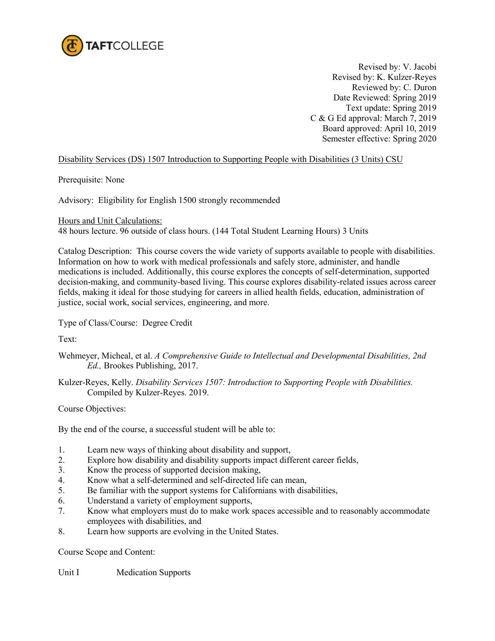

Revised by: V. Jacobi Revised by: K. Kulzer-Reyes Reviewed by: C. Duron Date Reviewed: Spring 2019 Text update: Spring 2019 C & G Ed approval: March 7, 2019 Board approved: April 10, 2019 Semester effective: Spring 2020

## Disability Services (DS) 1507 Introduction to Supporting People with Disabilities (3 Units) CSU

Prerequisite: None

Advisory: Eligibility for English 1500 strongly recommended

Hours and Unit Calculations:

48 hours lecture. 96 outside of class hours. (144 Total Student Learning Hours) 3 Units

Catalog Description: This course covers the wide variety of supports available to people with disabilities. Information on how to work with medical professionals and safely store, administer, and handle medications is included. Additionally, this course explores the concepts of self-determination, supported decision-making, and community-based living. This course explores disability-related issues across career fields, making it ideal for those studying for careers in allied health fields, education, administration of justice, social work, social services, engineering, and more.

Type of Class/Course: Degree Credit

Text:

- Wehmeyer, Micheal, et al. *A Comprehensive Guide to Intellectual and Developmental Disabilities, 2nd Ed.,* Brookes Publishing, 2017.
- Kulzer-Reyes, Kelly. *Disability Services 1507: Introduction to Supporting People with Disabilities.* Compiled by Kulzer-Reyes. 2019.

Course Objectives:

By the end of the course, a successful student will be able to:

- 1. Learn new ways of thinking about disability and support,
- 2. Explore how disability and disability supports impact different career fields,
- 3. Know the process of supported decision making,
- 4. Know what a self-determined and self-directed life can mean,
- 5. Be familiar with the support systems for Californians with disabilities,
- 6. Understand a variety of employment supports,
- 7. Know what employers must do to make work spaces accessible and to reasonably accommodate employees with disabilities, and
- 8. Learn how supports are evolving in the United States.

Course Scope and Content:

Unit I Medication Supports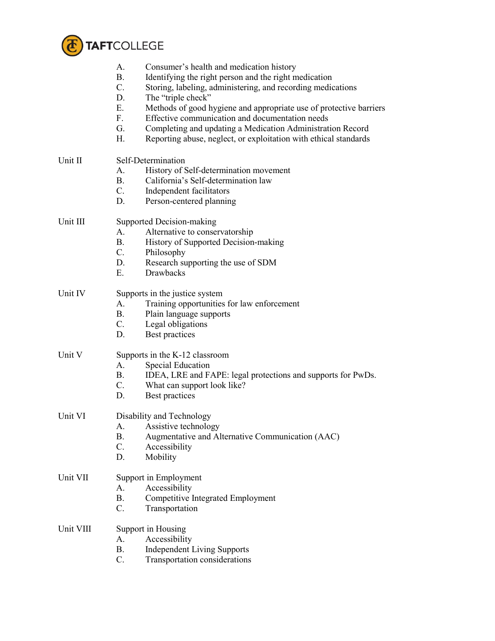

|           | A.<br>Consumer's health and medication history<br><b>B.</b><br>Identifying the right person and the right medication<br>$C_{\cdot}$<br>Storing, labeling, administering, and recording medications<br>The "triple check"<br>D.<br>Methods of good hygiene and appropriate use of protective barriers<br>Ε.<br>Effective communication and documentation needs<br>$F_{\cdot}$<br>G.<br>Completing and updating a Medication Administration Record<br>H.<br>Reporting abuse, neglect, or exploitation with ethical standards |  |
|-----------|----------------------------------------------------------------------------------------------------------------------------------------------------------------------------------------------------------------------------------------------------------------------------------------------------------------------------------------------------------------------------------------------------------------------------------------------------------------------------------------------------------------------------|--|
| Unit II   | Self-Determination<br>History of Self-determination movement<br>A.<br>California's Self-determination law<br><b>B.</b><br>$C_{\cdot}$<br>Independent facilitators<br>D.<br>Person-centered planning                                                                                                                                                                                                                                                                                                                        |  |
| Unit III  | Supported Decision-making<br>A.<br>Alternative to conservatorship<br><b>B.</b><br>History of Supported Decision-making<br>$C_{\cdot}$<br>Philosophy<br>Research supporting the use of SDM<br>D.<br>Drawbacks<br>Е.                                                                                                                                                                                                                                                                                                         |  |
| Unit IV   | Supports in the justice system<br>Training opportunities for law enforcement<br>A.<br><b>B.</b><br>Plain language supports<br>$C_{\cdot}$<br>Legal obligations<br>Best practices<br>D.                                                                                                                                                                                                                                                                                                                                     |  |
| Unit V    | Supports in the K-12 classroom<br>Special Education<br>A.<br><b>B.</b><br>IDEA, LRE and FAPE: legal protections and supports for PwDs.<br>$C_{\cdot}$<br>What can support look like?<br>D.<br>Best practices                                                                                                                                                                                                                                                                                                               |  |
| Unit VI   | Disability and Technology<br>Assistive technology<br>A.<br>Augmentative and Alternative Communication (AAC)<br>Β.<br>C.<br>Accessibility<br>D.<br>Mobility                                                                                                                                                                                                                                                                                                                                                                 |  |
| Unit VII  | Support in Employment<br>A.<br>Accessibility<br>Competitive Integrated Employment<br>B.<br>C.<br>Transportation                                                                                                                                                                                                                                                                                                                                                                                                            |  |
| Unit VIII | Support in Housing<br>Accessibility<br>A.<br><b>Independent Living Supports</b><br>B.<br>C.<br>Transportation considerations                                                                                                                                                                                                                                                                                                                                                                                               |  |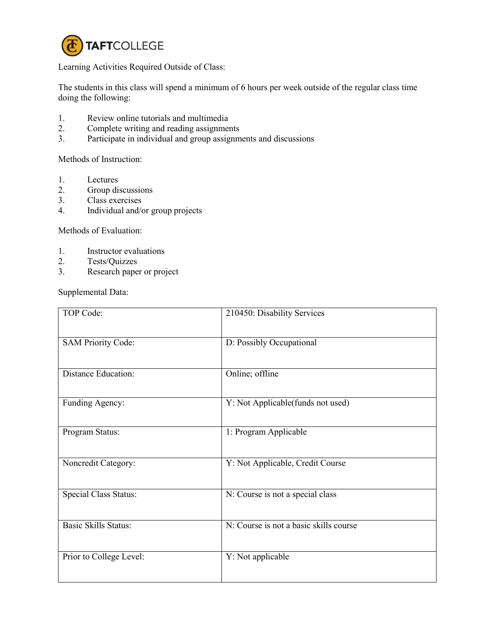

Learning Activities Required Outside of Class:

The students in this class will spend a minimum of 6 hours per week outside of the regular class time doing the following:

- 1. Review online tutorials and multimedia<br>2. Complete writing and reading assignment
- 2. Complete writing and reading assignments<br>3. Participate in individual and group assignm
- Participate in individual and group assignments and discussions

Methods of Instruction:

- 1. Lectures
- 2. Group discussions<br>3. Class exercises
- Class exercises
- 4. Individual and/or group projects

Methods of Evaluation:

- 1. Instructor evaluations
- 2. Tests/Quizzes
- 3. Research paper or project

Supplemental Data:

| TOP Code:                   | 210450: Disability Services            |
|-----------------------------|----------------------------------------|
| <b>SAM Priority Code:</b>   | D: Possibly Occupational               |
| <b>Distance Education:</b>  | Online; offline                        |
| Funding Agency:             | Y: Not Applicable(funds not used)      |
| Program Status:             | 1: Program Applicable                  |
| Noncredit Category:         | Y: Not Applicable, Credit Course       |
| Special Class Status:       | N: Course is not a special class       |
| <b>Basic Skills Status:</b> | N: Course is not a basic skills course |
| Prior to College Level:     | Y: Not applicable                      |
|                             |                                        |